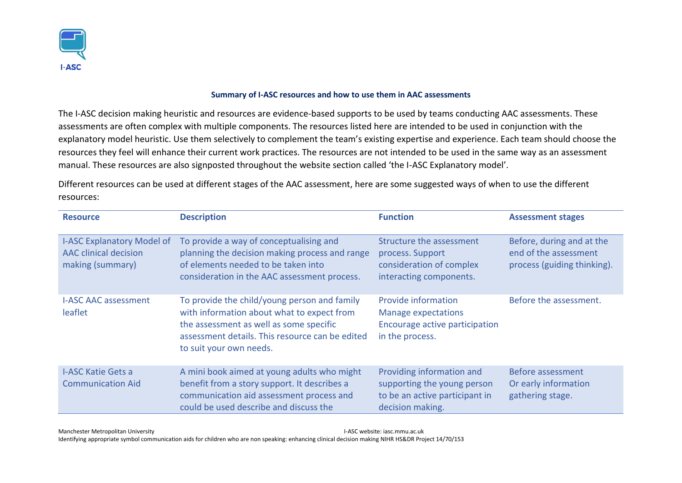

## **Summary of I-ASC resources and how to use them in AAC assessments**

The I-ASC decision making heuristic and resources are evidence-based supports to be used by teams conducting AAC assessments. These assessments are often complex with multiple components. The resources listed here are intended to be used in conjunction with the explanatory model heuristic. Use them selectively to complement the team's existing expertise and experience. Each team should choose the resources they feel will enhance their current work practices. The resources are not intended to be used in the same way as an assessment manual. These resources are also signposted throughout the website section called 'the I-ASC Explanatory model'.

Different resources can be used at different stages of the AAC assessment, here are some suggested ways of when to use the different resources:

| <b>Resource</b>                                                                       | <b>Description</b>                                                                                                                                                                                                  | <b>Function</b>                                                                                                | <b>Assessment stages</b>                                                          |
|---------------------------------------------------------------------------------------|---------------------------------------------------------------------------------------------------------------------------------------------------------------------------------------------------------------------|----------------------------------------------------------------------------------------------------------------|-----------------------------------------------------------------------------------|
| <b>I-ASC Explanatory Model of</b><br><b>AAC clinical decision</b><br>making (summary) | To provide a way of conceptualising and<br>planning the decision making process and range<br>of elements needed to be taken into<br>consideration in the AAC assessment process.                                    | Structure the assessment<br>process. Support<br>consideration of complex<br>interacting components.            | Before, during and at the<br>end of the assessment<br>process (guiding thinking). |
| <b>I-ASC AAC assessment</b><br>leaflet                                                | To provide the child/young person and family<br>with information about what to expect from<br>the assessment as well as some specific<br>assessment details. This resource can be edited<br>to suit your own needs. | Provide information<br><b>Manage expectations</b><br>Encourage active participation<br>in the process.         | Before the assessment.                                                            |
| <b>I-ASC Katie Gets a</b><br><b>Communication Aid</b>                                 | A mini book aimed at young adults who might<br>benefit from a story support. It describes a<br>communication aid assessment process and<br>could be used describe and discuss the                                   | Providing information and<br>supporting the young person<br>to be an active participant in<br>decision making. | Before assessment<br>Or early information<br>gathering stage.                     |

Manchester Metropolitan University I-ASC website: iasc.mmu.ac.uk Identifying appropriate symbol communication aids for children who are non speaking: enhancing clinical decision making NIHR HS&DR Project 14/70/153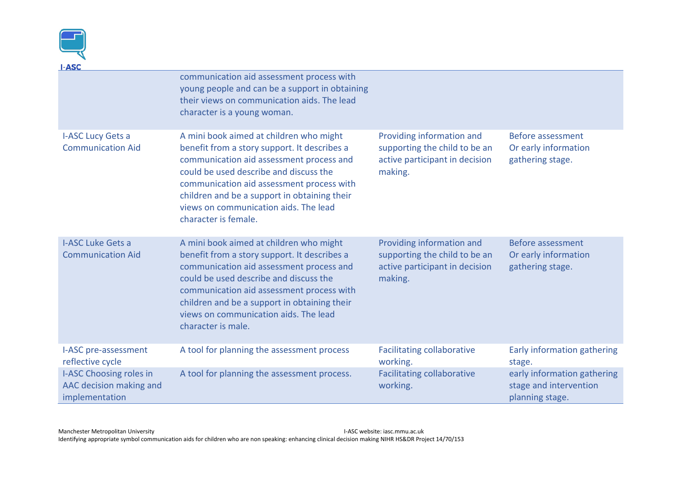

| <u>I-ASC</u>                                                         |                                                                                                                                                                                                                                                                                                                                             |                                                                                                         |                                                                          |
|----------------------------------------------------------------------|---------------------------------------------------------------------------------------------------------------------------------------------------------------------------------------------------------------------------------------------------------------------------------------------------------------------------------------------|---------------------------------------------------------------------------------------------------------|--------------------------------------------------------------------------|
|                                                                      | communication aid assessment process with<br>young people and can be a support in obtaining<br>their views on communication aids. The lead<br>character is a young woman.                                                                                                                                                                   |                                                                                                         |                                                                          |
| I-ASC Lucy Gets a<br><b>Communication Aid</b>                        | A mini book aimed at children who might<br>benefit from a story support. It describes a<br>communication aid assessment process and<br>could be used describe and discuss the<br>communication aid assessment process with<br>children and be a support in obtaining their<br>views on communication aids. The lead<br>character is female. | Providing information and<br>supporting the child to be an<br>active participant in decision<br>making. | Before assessment<br>Or early information<br>gathering stage.            |
| <b>I-ASC Luke Gets a</b><br><b>Communication Aid</b>                 | A mini book aimed at children who might<br>benefit from a story support. It describes a<br>communication aid assessment process and<br>could be used describe and discuss the<br>communication aid assessment process with<br>children and be a support in obtaining their<br>views on communication aids. The lead<br>character is male.   | Providing information and<br>supporting the child to be an<br>active participant in decision<br>making. | <b>Before assessment</b><br>Or early information<br>gathering stage.     |
| I-ASC pre-assessment<br>reflective cycle                             | A tool for planning the assessment process                                                                                                                                                                                                                                                                                                  | <b>Facilitating collaborative</b><br>working.                                                           | Early information gathering<br>stage.                                    |
| I-ASC Choosing roles in<br>AAC decision making and<br>implementation | A tool for planning the assessment process.                                                                                                                                                                                                                                                                                                 | <b>Facilitating collaborative</b><br>working.                                                           | early information gathering<br>stage and intervention<br>planning stage. |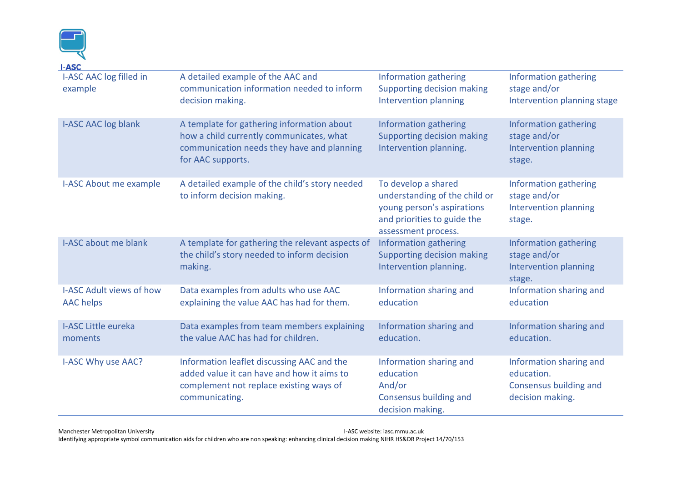| <b>I-ASC</b><br>I-ASC AAC log filled in<br>example  | A detailed example of the AAC and<br>communication information needed to inform<br>decision making.                                                       | Information gathering<br>Supporting decision making<br>Intervention planning                                                             | Information gathering<br>stage and/or<br>Intervention planning stage                |
|-----------------------------------------------------|-----------------------------------------------------------------------------------------------------------------------------------------------------------|------------------------------------------------------------------------------------------------------------------------------------------|-------------------------------------------------------------------------------------|
| <b>I-ASC AAC log blank</b>                          | A template for gathering information about<br>how a child currently communicates, what<br>communication needs they have and planning<br>for AAC supports. | Information gathering<br>Supporting decision making<br>Intervention planning.                                                            | Information gathering<br>stage and/or<br>Intervention planning<br>stage.            |
| <b>I-ASC About me example</b>                       | A detailed example of the child's story needed<br>to inform decision making.                                                                              | To develop a shared<br>understanding of the child or<br>young person's aspirations<br>and priorities to guide the<br>assessment process. | Information gathering<br>stage and/or<br>Intervention planning<br>stage.            |
| <b>I-ASC about me blank</b>                         | A template for gathering the relevant aspects of<br>the child's story needed to inform decision<br>making.                                                | Information gathering<br>Supporting decision making<br>Intervention planning.                                                            | Information gathering<br>stage and/or<br>Intervention planning<br>stage.            |
| <b>I-ASC Adult views of how</b><br><b>AAC</b> helps | Data examples from adults who use AAC<br>explaining the value AAC has had for them.                                                                       | Information sharing and<br>education                                                                                                     | Information sharing and<br>education                                                |
| <b>I-ASC Little eureka</b><br>moments               | Data examples from team members explaining<br>the value AAC has had for children.                                                                         | Information sharing and<br>education.                                                                                                    | Information sharing and<br>education.                                               |
| I-ASC Why use AAC?                                  | Information leaflet discussing AAC and the<br>added value it can have and how it aims to<br>complement not replace existing ways of<br>communicating.     | Information sharing and<br>education<br>And/or<br>Consensus building and<br>decision making.                                             | Information sharing and<br>education.<br>Consensus building and<br>decision making. |

Manchester Metropolitan University **I-ASC website: iasc.mmu.ac.uk I-ASC website: iasc.mmu.ac.uk** Identifying appropriate symbol communication aids for children who are non speaking: enhancing clinical decision making NIHR HS&DR Project 14/70/153

<u>ा</u>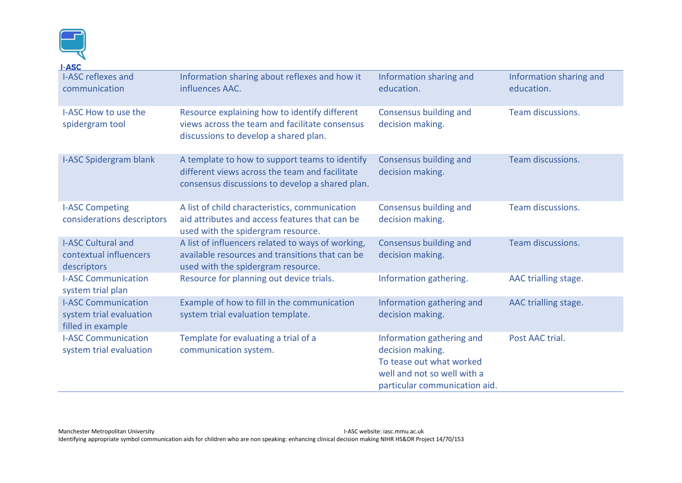

| <u> 1-ASC</u>                                                              |                                                                                                                                                     |                                                                                                                                           |                                       |
|----------------------------------------------------------------------------|-----------------------------------------------------------------------------------------------------------------------------------------------------|-------------------------------------------------------------------------------------------------------------------------------------------|---------------------------------------|
| <b>I-ASC reflexes and</b><br>communication                                 | Information sharing about reflexes and how it<br>influences AAC.                                                                                    | Information sharing and<br>education.                                                                                                     | Information sharing and<br>education. |
| I-ASC How to use the<br>spidergram tool                                    | Resource explaining how to identify different<br>views across the team and facilitate consensus<br>discussions to develop a shared plan.            | Consensus building and<br>decision making.                                                                                                | <b>Team discussions.</b>              |
| <b>I-ASC Spidergram blank</b>                                              | A template to how to support teams to identify<br>different views across the team and facilitate<br>consensus discussions to develop a shared plan. | Consensus building and<br>decision making.                                                                                                | Team discussions.                     |
| <b>I-ASC Competing</b><br>considerations descriptors                       | A list of child characteristics, communication<br>aid attributes and access features that can be<br>used with the spidergram resource.              | Consensus building and<br>decision making.                                                                                                | Team discussions.                     |
| <b>I-ASC Cultural and</b><br>contextual influencers<br>descriptors         | A list of influencers related to ways of working,<br>available resources and transitions that can be<br>used with the spidergram resource.          | Consensus building and<br>decision making.                                                                                                | <b>Team discussions.</b>              |
| <b>I-ASC Communication</b><br>system trial plan                            | Resource for planning out device trials.                                                                                                            | Information gathering.                                                                                                                    | AAC trialling stage.                  |
| <b>I-ASC Communication</b><br>system trial evaluation<br>filled in example | Example of how to fill in the communication<br>system trial evaluation template.                                                                    | Information gathering and<br>decision making.                                                                                             | AAC trialling stage.                  |
| <b>I-ASC Communication</b><br>system trial evaluation                      | Template for evaluating a trial of a<br>communication system.                                                                                       | Information gathering and<br>decision making.<br>To tease out what worked<br>well and not so well with a<br>particular communication aid. | Post AAC trial.                       |